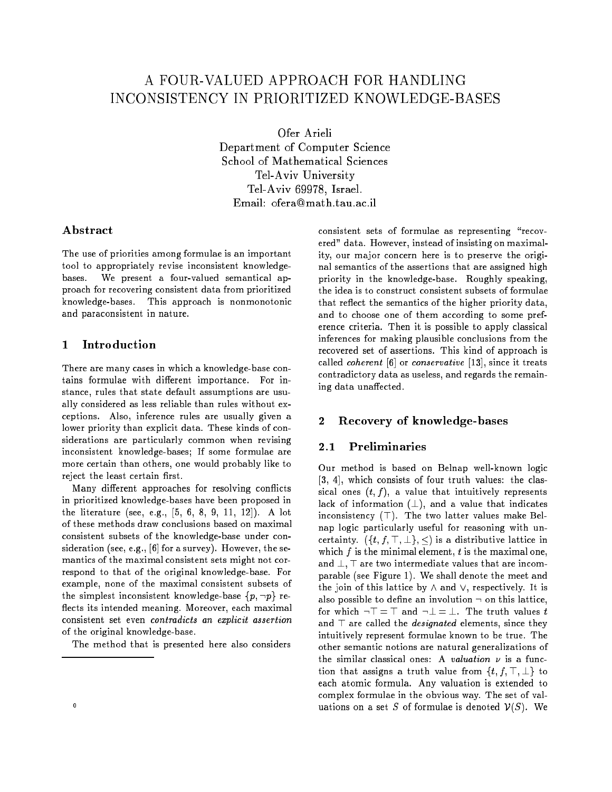# A FOUR-VALUED APPROACH FOR HANDLING INCONSISTENCY IN PRIORITIZED KNOWLEDGE-BASES

Ofer Arieli Department of Computer Science School of Mathematical Sciences Tel-Aviv University Tel-Aviv 69978, Israel. Email: ofera@math.tau.ac.il

## A bstract

The use of priorities among formulae is an important tool to appropriately revise inconsistent knowledgebases. We present a four-valued semantical approach for recovering consistent data from prioritized knowledge-bases. This approach is nonmonotonic and paraconsistent in nature.

#### **Introduction**  $\mathbf{1}$

There are many cases in which a knowledge-base contains formulae with different importance. For instance, rules that state default assumptions are usually considered as less reliable than rules without exceptions. Also, inference rules are usually given a lower priority than explicit data. These kinds of considerations are particularly common when revising inconsistent knowledge-bases; If some formulae are more certain than others, one would probably like to reject the least certain first.

Many different approaches for resolving conflicts in prioritized knowledge-bases have been proposed in the literature (see, e.g., [5, 6, 8, 9, 11, 12]). A lot of these methods draw conclusions based on maximal consistent subsets of the knowledge-base under consideration (see, e.g., [6] for a survey). However, the semantics of the maximal consistent sets might not correspond to that of the original knowledge-base. For example, none of the maximal consistent subsets of the simplest inconsistent knowledge-base  $\{p, \neg p\}$  reflects its intended meaning. Moreover, each maximal consistent set even contradicts an explicit assertion of the original knowledge-base.

The method that is presented here also considers

consistent sets of formulae as representing "recovered" data. However, instead of insisting on maximality, our major concern here is to preserve the original semantics of the assertions that are assigned high priority in the knowledge-base. Roughly speaking, the idea is to construct consistent subsets of formulae that reflect the semantics of the higher priority data, and to choose one of them according to some preference criteria. Then it is possible to apply classical inferences for making plausible conclusions from the recovered set of assertions. This kind of approach is called coherent [6] or conservative [13], since it treats contradictory data as useless, and regards the remaining data unaffected.

#### Recovery of knowledge-bases  $\mathbf{2}$

#### **Preliminaries**  $2.1$

Our method is based on Belnap well-known logic [3, 4], which consists of four truth values: the classical ones  $(t, f)$ , a value that intuitively represents lack of information  $(\perp)$ , and a value that indicates inconsistency  $(T)$ . The two latter values make Belnap logic particularly useful for reasoning with uncertainty.  $({t, f, \top, \bot}, \leq)$  is a distributive lattice in which  $f$  is the minimal element,  $t$  is the maximal one, and  $\perp$ ,  $\top$  are two intermediate values that are incomparable (see Figure 1). We shall denote the meet and the join of this lattice by  $\wedge$  and  $\vee$ , respectively. It is also possible to define an involution  $\neg$  on this lattice, for which  $\neg$   $\top$  =  $\top$  and  $\neg$   $\bot$  =  $\bot$ . The truth values t and  $\top$  are called the *designated* elements, since they intuitively represent formulae known to be true. The other semantic notions are natural generalizations of the similar classical ones: A valuation  $\nu$  is a function that assigns a truth value from  $\{t, f, \top, \bot\}$  to each atomic formula. Any valuation is extended to complex formulae in the obvious way. The set of valuations on a set S of formulae is denoted  $V(S)$ . We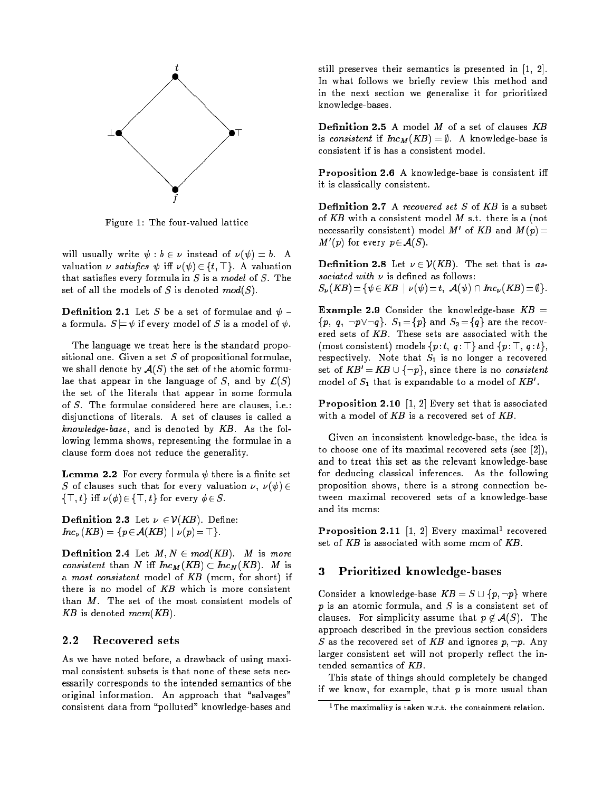

Figure 1: The four-valued lattice

will usually write  $\psi : b \in \nu$  instead of  $\nu(\psi) = b$ . A valuation  $\nu$  satisfies  $\psi$  iff  $\nu(\psi) \in \{t, \top\}$ . A valuation that satisfies every formula in  $S$  is a model of  $S$ . The set of all the models of S is denoted  $mod(S)$ .

**Definition 2.1** Let S be a set of formulae and  $\psi$  a formula.  $S \models \psi$  if every model of S is a model of  $\psi$ .

The language we treat here is the standard propositional one. Given a set  $S$  of propositional formulae, we shall denote by  $\mathcal{A}(S)$  the set of the atomic formulae that appear in the language of S, and by  $\mathcal{L}(S)$ the set of the literals that appear in some formula of S. The formulae considered here are clauses, i.e.: disjunctions of literals. A set of clauses is called a knowledge-base, and is denoted by  $KB$ . As the following lemma shows, representing the formulae in a clause form does not reduce the generality.

**Lemma 2.2** For every formula  $\psi$  there is a finite set S of clauses such that for every valuation , ( ) <sup>2</sup>  $\{\top, t\}$  iff  $\nu(\phi) \in \{\top, t\}$  for every  $\phi \in S$ .

**Definition 2.3** Let  $\nu \in \mathcal{V}(KB)$ . Define:  $Inc_{\nu}(KB) = \{p \in \mathcal{A}(KB) \mid \nu(p) = \top\}.$ 

**Definition 2.4** Let  $M, N \in mod(KB)$ . M is more consistent than I is the M((II). M is  $\sim$  Internal  $\sim$ a most consistent model of KB (mcm, for short) if there is no model of  $KB$  which is more consistent than M. The set of the most consistent models of KB is denoted mcm(KB).

# 2.2 Recovered sets

As we have noted before, a drawback of using maximal consistent subsets is that none of these sets necessarily corresponds to the intended semantics of the original information. An approach that "salvages" consistent data from \polluted" knowledge-bases and still preserves their semantics is presented in [1, 2]. In what follows we briefly review this method and in the next section we generalize it for prioritized knowledge-bases.

is consistent if  $Inc_M(KB) = \emptyset$ . A knowledge-base is consistent if is has a consistent model.

Proposition 2.6 A knowledge-base is consistent iff it is classically consistent.

**Definition 2.7** A recovered set  $S$  of  $KB$  is a subset of KB with a consistent model  $M$  s.t. there is a (not necessarily consistent) model  $M$  of  $\Lambda B$  and  $M(p) =$  $M$  (p) for every  $p \in \mathcal{A}(S)$ .

**Definition 2.8** Let  $\nu \in \mathcal{V}(KB)$ . The set that is as- $S_{\nu}(KB) = \{ \psi \in KB \mid \nu (\psi) = t, \mathcal{A}(\psi) \cap Inc_{\nu}(KB) = \emptyset \}.$ 

**Example 2.9** Consider the knowledge-base  $KB =$  $\{p, q, \neg p \vee \neg q\}$ .  $S_1 = \{p\}$  and  $S_2 = \{q\}$  are the recovered sets of KB. These sets are associated with the (most consistent) models  $\{p : t, q : \top\}$  and  $\{p : \top, q : t\},\$ respectively. Note that  $S_1$  is no longer a recovered set of  $KB' = KB \cup \{\neg p\}$ , since there is no consistent model of  $S_1$  that is expandable to a model of  $\Lambda B$  .

Proposition 2.10 [1, 2] Every set that is associated with a model of  $KB$  is a recovered set of  $KB$ .

Given an inconsistent knowledge-base, the idea is to choose one of its maximal recovered sets (see [2]), and to treat this set as the relevant knowledge-base for deducing classical inferences. As the following proposition shows, there is a strong connection between maximal recovered sets of a knowledge-base

**Proposition 2.11** [1, 2] Every maximal recovered set of  $KB$  is associated with some mcm of  $KB$ .

### 3 Prioritized knowledge-bases

Consider a knowledge-base  $KB = S \cup \{p, \neg p\}$  where p is an atomic formula, and <sup>S</sup> is a consistent set of clauses. For simplicity assume that  $p \notin A(S)$ . The approach described in the previous section considers S as the recovered set of KB and ignores p; :p. Any larger consistent set will not properly reflect the intended semantics of KB.

This state of things should completely be changed if we know, for example, that  $p$  is more usual than

<sup>1</sup>The maximality is taken w.r.t. the containment relation.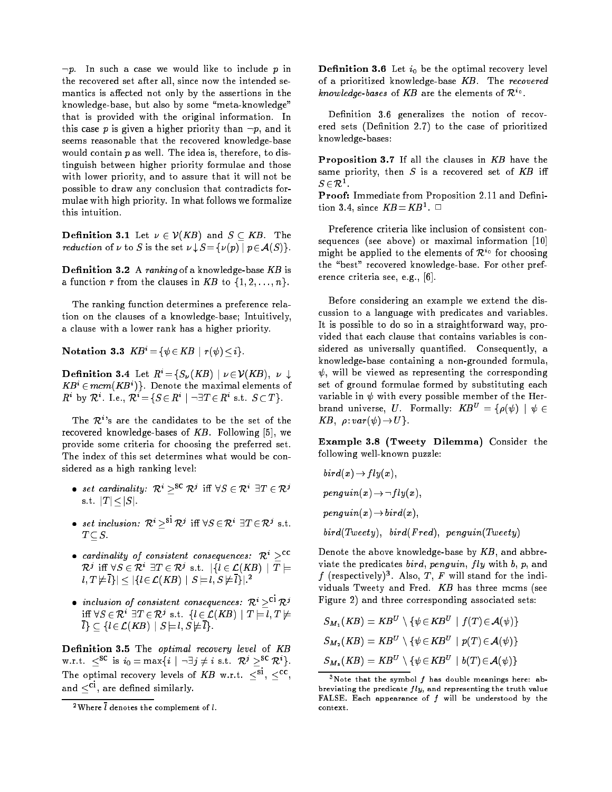$\neg p$ . In such a case we would like to include  $p$  in the recovered set after all, since now the intended semantics is affected not only by the assertions in the knowledge-base, but also by some "meta-knowledge" that is provided with the original information. In this case p is given a higher priority than  $\neg p$ , and it seems reasonable that the recovered knowledge-base would contain  $p$  as well. The idea is, therefore, to distinguish between higher priority formulae and those with lower priority, and to assure that it will not be possible to draw any conclusion that contradicts formulae with high priority. In what follows we formalize this intuition.

**Definition 3.1** Let  $\nu \in \mathcal{V}(KB)$  and  $S \subseteq KB$ . The reduction of  $\sim$  set  $\sim$  set  $\sim$  set  $\sim$  set  $\sim$  . The set  $\sim$  set  $\sim$  1.

**Definition 3.2** A ranking of a knowledge-base  $KB$  is a function r from the clauses in KB to  $\{1, 2, \ldots, n\}$ .

The ranking function determines a preference relation on the clauses of a knowledge-base; Intuitively, a clause with a lower rank has a higher priority.

Notation 3.3  $KB^i = \{ \psi \in KB \mid r(\psi) \leq i \}.$ 

**Definition 3.4** Let  $R^i = \{S_\nu(KB) \mid \nu \in \mathcal{V}(KB), \nu \downarrow \emptyset\}$  $\bm{A}\bm{B} \in mcm$  (  $\bm{A}\bm{B}$  ) ). Denote the maximal elements of R DV  $\mathcal{R}$ . I.e.,  $\mathcal{R}$  = { $S \in \mathcal{R}$  |  $\neg \exists I \in \mathcal{R}$  s.t.  $S \subset I$  }.

The  $\mathcal{R}^i$ 's are the candidates to be the set of the recovered knowledge-bases of  $KB$ . Following [5], we provide some criteria for choosing the preferred set. The index of this set determines what would be considered as a high ranking level:

- $\bullet$  set caramatity:  $\kappa$   $\rightarrow$   $\kappa$  in  $\vee$   $\sigma \in \kappa$   $\rightarrow$   $\kappa$   $\sim$ s.t.  $|T| \leq |S|$ .
- $\bullet$  set inclusion:  $\kappa > \kappa$  iff  $\forall s \in \kappa$   $\exists I \in \kappa$  s.t.
- cardinality of consistent consequences:  $\mathcal{R}^i$  ><sup>cc</sup>  $\mathcal{R}'$  in  $\forall s \in \mathcal{R}$  and  $\mathcal{R}'$  s.t. if  $t \in \mathcal{L}(AB)$  if  $I \equiv$  $l, I \not\sqsubset l$  i  $\vert \leqslant \vert I \vert \in \mathcal{L}(AD)$  i  $S \sqsubset l, S \not\sqsubset l$  i  $\vert \cdot \vert$
- inclusion of consistent consequences:  $\mathcal{R}^i >^{\text{ci}} \mathcal{R}^j$ IN VS  $\in \mathcal{K}$  and  $\in \mathcal{K}$  s.t. flections if  $I \models l, I \not\models I$  $\overline{l}\}\subseteq \{l\in \mathcal{L}(KB)\mid S\models l, S\not\models \overline{l}\}.$

Definition 3.5 The optimal recovery level of KB W.r.t.  $\leq$  is  $i_0 = \max\{i \mid \neg \exists j \neq i \text{ s.t. } K^j \geq \neg K \}$ . The optimal recovery levels of  $\Delta D$  w.r.t.  $\leq$ ,  $\leq$ , and  $\leq^{ci}$ , are defined similarly.

Definition 3.6 Let  $i_0$  be the optimal recovery level of a prioritized knowledge-base KB. The recovered *knowledge-bases* of AB are the elements of  $\kappa^{\circ}$ .

Definition 3.6 generalizes the notion of recovered sets (Definition 2.7) to the case of prioritized knowledge-bases:

Proposition 3.7 If all the clauses in KB have the same priority, then  $S$  is a recovered set of  $KB$  iff  $S \in \mathcal{K}^-$ 

Proof: Immediate from Proposition 2.11 and Definition 3.4, since KB =KB<sup>1</sup> . <sup>2</sup>

Preference criteria like inclusion of consistent consequences (see above) or maximal information [10] might be applied to the elements of  $\kappa$ <sup>o</sup> for choosing the "best" recovered knowledge-base. For other preference criteria see, e.g., [6].

Before considering an example we extend the discussion to a language with predicates and variables. It is possible to do so in a straightforward way, provided that each clause that contains variables is considered as universally quantified. Consequently, a knowledge-base containing a non-grounded formula,  $\psi$ , will be viewed as representing the corresponding set of ground formulae formed by substituting each variable in  $\psi$  with every possible member of the Herbrand universe, U. Formally:  $KB^U = \{ \rho(\psi) | \psi \in \mathbb{R} \}$ KB ; : var( )!U g.

Example 3.8 (Tweety Dilemma) Consider the following well-known puzzle:

$$
bird(x) \rightarrow fly(x),
$$
  
\n
$$
penguin(x) \rightarrow \neg fly(x),
$$
  
\n
$$
penguin(x) \rightarrow bird(x),
$$
  
\n
$$
bird(Tweety), \quad bird(Fred), \quad penguin(Tweety)
$$

Denote the above knowledge-base by  $KB$ , and abbreviate the predicates bird, penguin,  $fly$  with  $b, p$ , and  $\tau$  (respectively). Also,  $\tau$ , F will stand for the individuals Tweety and Fred. KB has three mcms (see Figure 2) and three corresponding associated sets:

$$
S_{M_1}(KB) = KB^U \setminus \{ \psi \in KB^U \mid f(T) \in \mathcal{A}(\psi) \}
$$
  
\n
$$
S_{M_2}(KB) = KB^U \setminus \{ \psi \in KB^U \mid p(T) \in \mathcal{A}(\psi) \}
$$
  
\n
$$
S_{M_3}(KB) = KB^U \setminus \{ \psi \in KB^U \mid b(T) \in \mathcal{A}(\psi) \}
$$

<sup>&</sup>lt;sup>2</sup>Where  $\bar{l}$  denotes the complement of  $l$ .

<sup>&</sup>lt;sup>3</sup>Note that the symbol  $f$  has double meanings here: abbreviating the predicate  $fly$ , and representing the truth value FALSE. Each appearance of  $f$  will be understood by the context.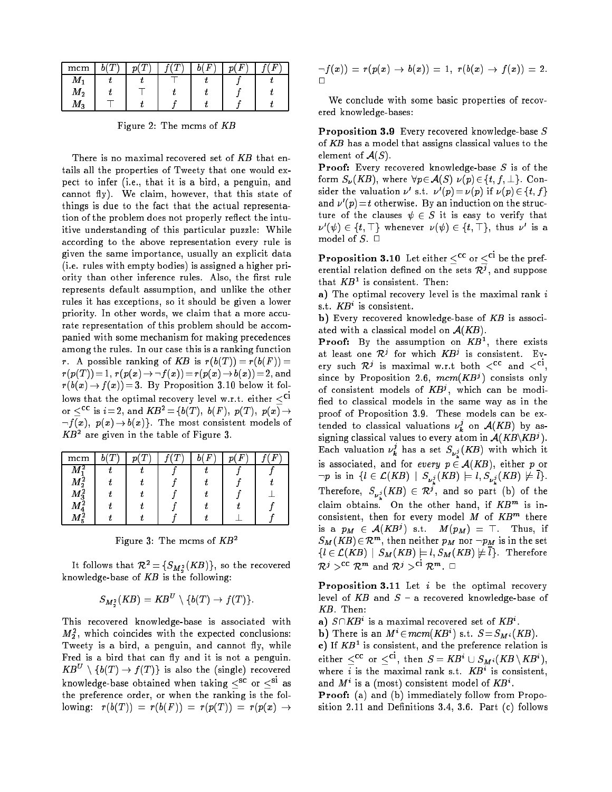| mcm                  |  | F | F | п |
|----------------------|--|---|---|---|
|                      |  |   |   |   |
| $M_{2}$              |  |   |   |   |
| $\boldsymbol{M_{3}}$ |  |   |   |   |

Figure 2: The mcms of KB

There is no maximal recovered set of  $KB$  that entails all the properties of Tweety that one would expect to infer (i.e., that it is a bird, a penguin, and cannot fly). We claim, however, that this state of things is due to the fact that the actual representation of the problem does not properly reflect the intuitive understanding of this particular puzzle: While according to the above representation every rule is given the same importance, usually an explicit data (i.e. rules with empty bodies) is assigned a higher priority than other inference rules. Also, the first rule represents default assumption, and unlike the other rules it has exceptions, so it should be given a lower priority. In other words, we claim that a more accurate representation of this problem should be accompanied with some mechanism for making precedences among the rules. In our case this is a ranking function r. A possible ranking of KB is  $r(b(T)) = r(b(F)) =$  $r(p(T)) = 1, r(p(x) \rightarrow f(x)) = r(p(x) \rightarrow b(x)) = 2$ , and  $r(b(x) \rightarrow f(x)) = 3$ . By Proposition 3.10 below it follows that the optimal recovery level w.r.t. either  $\leq^{ci}$ or  $\leq^{cc}$  is  $i=2$ , and  $KB^2 = \{b(T), b(F), p(T), p(x) \}$  $\neg f(x), \ p(x) \rightarrow b(x)\}.$  The most consistent models of  $AD^-$  are given in the table of Figure 3.

| mcm         |  |  | Ð | F |
|-------------|--|--|---|---|
| W           |  |  |   |   |
| $M_2^2$     |  |  |   |   |
| $M_3^2$     |  |  |   |   |
| $M_{\rm A}$ |  |  |   |   |
| 5           |  |  |   |   |

Figure 3: The mcms of  $KB^2$ 

It follows that  $\kappa^2 = \{S_M^2(\kappa B)\}\,$ , so the recovered knowledge-base of  $KB$  is the following:

$$
S_{M^2}(KB) = KB^U \setminus \{b(T) \to f(T)\}.
$$

This recovered knowledge-base is associated with  $m_{\bar{2}}$ , which coincides with the expected conclusions: Tweety is a bird, a penguin, and cannot fly, while Fred is a bird that can fly and it is not a penguin.  $\mathbf{A} \mathbf{B}^{\top} \rightarrow \{0,1\} \rightarrow f(1)$  is also the (single) recovered knowledge-base obtained when taking  $\langle ^{sc} \text{ or } \langle ^{si} \text{ as} \rangle$ the preference order, or when the ranking is the following:  $r(b(T)) = r(b(F)) = r(p(T)) = r(p(x) \rightarrow$ 

$$
\neg f(x)) = r(p(x) \to b(x)) = 1, r(b(x) \to f(x)) = 2.
$$

We conclude with some basic properties of recovered knowledge-bases:

Proposition 3.9 Every recovered knowledge-base S of KB has a model that assigns classical values to the element of  $\mathcal{A}(S)$ .

**Proof:** Every recovered knowledge-base  $S$  is of the form  $S_{\nu}(KB)$ , where  $\forall p \in \mathcal{A}(S) \ \nu(p) \in \{t, f, \bot\}$ . Consider the valuation  $\nu$  s.t.  $\nu$  ( $p$ )  $\equiv$   $\nu$ ( $p$ ) if  $\nu$ ( $p$ )  $\in$  {t, t } and  $\nu$  ( $p$ )  $\equiv$  t otherwise. By an induction on the structure of the clauses  $\psi \in S$  it is easy to verify that  $\nu$  ( $\nu$ )  $\in$  { $\iota$ ,  $\mapsto$  whenever  $\nu(\nu)$   $\in$  { $\iota$ ,  $\mapsto$  thus  $\nu$  is a model of  $S$ .  $\Box$ 

Proposition 3.10 Let either  $\leq^{cc}$  or  $\leq^{ci}$  be the preferential relation defined on the sets  $\kappa$ , and suppose  $\mu$ nat  $\Lambda$  $D^-$  is consistent. Inen:

a) The optimal recovery level is the maximal rank  $i$ s.t. **AD** is consistent.

b) Every recovered knowledge-base of KB is associated with a classical model on  $A(KB)$ .

**Proof:** By the assumption on  $AB^-$ , there exists at least one  $\kappa$  for which  $\kappa$ B is consistent. Every such  $\kappa'$  is maximal w.r.t both  $\zeta^-$  and  $\zeta^-$ , since by Proposition 2.0,  $mcm$   $\Lambda B'$  ) consists only of consistent models of  $\mathbf{A}B^{\prime}$ , which can be modified to classical models in the same way as in the proof of Proposition 3.9. These models can be extended to classical valuations  $\nu_{\bm{k}}^{\ast}$  on  $\mathcal{A}(KB)$  by assigning classical values to every atom in  $A(NB/NB')$ . Each valuation  $\nu_{\bm{k}}^{\prime}$  has a set  $S_{\bm{\nu}_{\bm{\nu}}^{\bm{j}}}(KB)$  with which it is associated, and for every <sup>p</sup> 2 A(KB), either <sup>p</sup> or  $p_i^2$  is in flying  $p_i^2$  is  $p_i^2$  in  $p_i^2$  is  $p_i^2$  in  $p_i^2$  is  $j = j$ Inerefore,  $S_{\nu_i^j}(AD) \in \mathcal{R}^j$ , and so part (b) of the claim obtains. On the other hand, if  $KB^m$  is inconsistent, then for every model  $M$  of  $\Lambda_{D}$  there is a  $p_M \in A(\Lambda D)$  s.t.  $m(p_M) = \ldots$  inus, if  $\mathcal{S}_{M}$  (  $\mathbf{\Lambda}B$  )  $\in$   $\mathcal{K}^{**}$  , then neither  $p_{M}$  nor  $\neg p_{M}$  is in the set  $\{l \in \mathcal{L} (KB) \, \mid \, S_M(KB) \models l, S_M(KB) \not \models \overline{l}\}.$  Therefore  $\kappa$   $\rightarrow$   $\kappa$   $\sim$  and  $\kappa$   $\rightarrow$   $\kappa$   $\sim$   $\sim$ 

**Proposition 3.11** Let  $i$  be the optimal recovery level of  $KB$  and  $S$  - a recovered knowledge-base of KB. Then:

 $a_{\ell}$   $\beta$   $\mid$   $\Lambda$   $D$  is a maximal recovered set of  $\Lambda$   $D$  .

**b**) Inere is an  $M \in mcm(NB)$  s.t.  $S = S_M i(NB)$ .

c) if  $\Delta D$  is consistent, and the preference relation is either  $\leq$  or  $\leq$ , then  $S = AB$   $\cup$   $S_M$ ;  $(AB \setminus AB)$ , where  $i$  is the maximal rank s.t.  $\boldsymbol{A} \boldsymbol{B}$  is consistent, and  $M$  is a (most) consistent model of  $AB$ .

Proof: (a) and (b) immediately follow from Proposition 2.11 and Definitions 3.4, 3.6. Part  $(c)$  follows